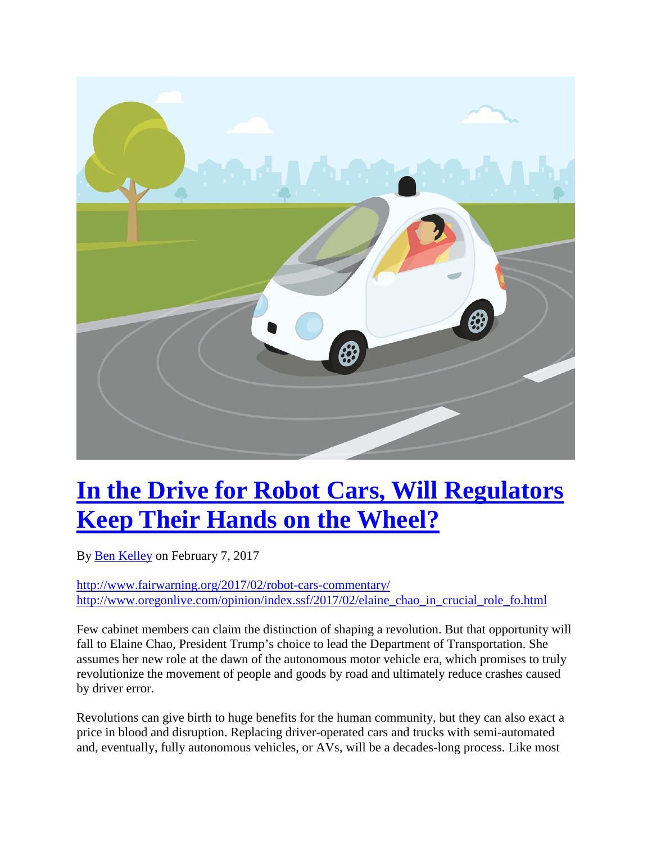

## **[In the Drive for Robot Cars, Will Regulators](http://www.fairwarning.org/2017/02/robot-cars-commentary/) [Keep Their Hands on the Wheel?](http://www.fairwarning.org/2017/02/robot-cars-commentary/)**

By [Ben Kelley](http://www.fairwarning.org/writer/ben-kelley/) on February 7, 2017

<http://www.fairwarning.org/2017/02/robot-cars-commentary/> [http://www.oregonlive.com/opinion/index.ssf/2017/02/elaine\\_chao\\_in\\_crucial\\_role\\_fo.html](http://www.oregonlive.com/opinion/index.ssf/2017/02/elaine_chao_in_crucial_role_fo.html)

Few cabinet members can claim the distinction of shaping a revolution. But that opportunity will fall to Elaine Chao, President Trump's choice to lead the Department of Transportation. She assumes her new role at the dawn of the autonomous motor vehicle era, which promises to truly revolutionize the movement of people and goods by road and ultimately reduce crashes caused by driver error.

Revolutions can give birth to huge benefits for the human community, but they can also exact a price in blood and disruption. Replacing driver-operated cars and trucks with semi-automated and, eventually, fully autonomous vehicles, or AVs, will be a decades-long process. Like most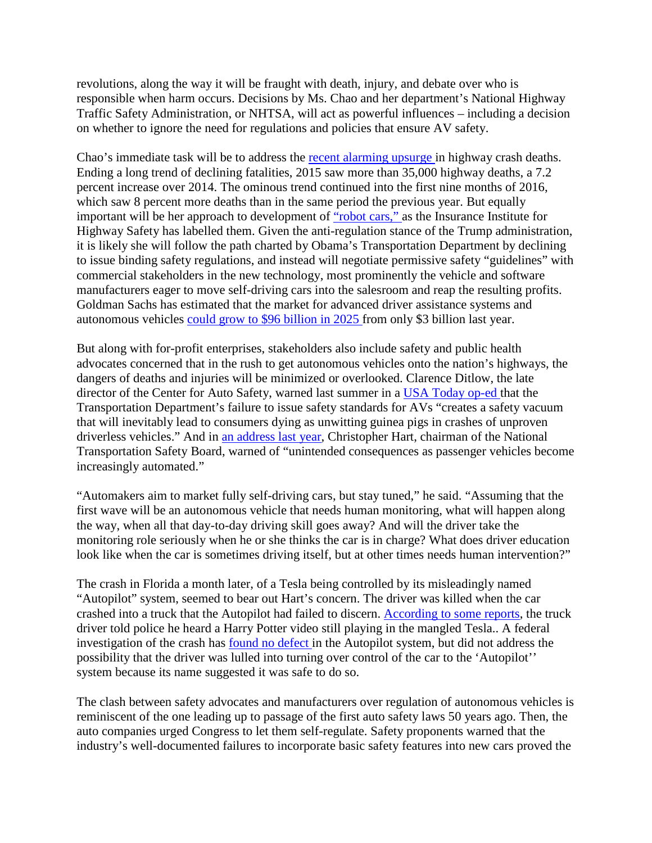revolutions, along the way it will be fraught with death, injury, and debate over who is responsible when harm occurs. Decisions by Ms. Chao and her department's National Highway Traffic Safety Administration, or NHTSA, will act as powerful influences – including a decision on whether to ignore the need for regulations and policies that ensure AV safety.

Chao's immediate task will be to address the [recent alarming upsurge](https://crashstats.nhtsa.dot.gov/Api/Public/ViewPublication/812332) in highway crash deaths. Ending a long trend of declining fatalities, 2015 saw more than 35,000 highway deaths, a 7.2 percent increase over 2014. The ominous trend continued into the first nine months of 2016, which saw 8 percent more deaths than in the same period the previous year. But equally important will be her approach to development of ["robot cars,"](http://www.iihs.org/iihs/news/desktopnews/driver-seat-robot-cars-wont-retire-crash-test-dummies-anytime-soon) as the Insurance Institute for Highway Safety has labelled them. Given the anti-regulation stance of the Trump administration, it is likely she will follow the path charted by Obama's Transportation Department by declining to issue binding safety regulations, and instead will negotiate permissive safety "guidelines" with commercial stakeholders in the new technology, most prominently the vehicle and software manufacturers eager to move self-driving cars into the salesroom and reap the resulting profits. Goldman Sachs has estimated that the market for advanced driver assistance systems and autonomous vehicles [could grow to \\$96 billion in 2025](http://www.reuters.com/article/us-mobiley-autos-deals-idUSKCN11K1X8) from only \$3 billion last year.

But along with for-profit enterprises, stakeholders also include safety and public health advocates concerned that in the rush to get autonomous vehicles onto the nation's highways, the dangers of deaths and injuries will be minimized or overlooked. Clarence Ditlow, the late director of the Center for Auto Safety, warned last summer in a [USA Today op-ed](http://www.usatoday.com/story/opinion/2016/08/30/driverless-cars-nhtsa-center-for-automotive-safety-editorials-debates/89601112/) that the Transportation Department's failure to issue safety standards for AVs "creates a safety vacuum that will inevitably lead to consumers dying as unwitting guinea pigs in crashes of unproven driverless vehicles." And in [an address last year,](https://www.ntsb.gov/news/speeches/CHart/Pages/hart_20160401.aspx) Christopher Hart, chairman of the National Transportation Safety Board, warned of "unintended consequences as passenger vehicles become increasingly automated."

"Automakers aim to market fully self-driving cars, but stay tuned," he said. "Assuming that the first wave will be an autonomous vehicle that needs human monitoring, what will happen along the way, when all that day-to-day driving skill goes away? And will the driver take the monitoring role seriously when he or she thinks the car is in charge? What does driver education look like when the car is sometimes driving itself, but at other times needs human intervention?"

The crash in Florida a month later, of a Tesla being controlled by its misleadingly named "Autopilot" system, seemed to bear out Hart's concern. The driver was killed when the car crashed into a truck that the Autopilot had failed to discern. [According to some reports](http://www.latimes.com/business/autos/la-fi-hy-tesla-autopilot-20170119-story.html), the truck driver told police he heard a Harry Potter video still playing in the mangled Tesla.. A federal investigation of the crash has [found no defect](http://www.wsj.com/articles/u-s-regulators-to-close-tesla-autopilot-probe-1484845021) in the Autopilot system, but did not address the possibility that the driver was lulled into turning over control of the car to the 'Autopilot'' system because its name suggested it was safe to do so.

The clash between safety advocates and manufacturers over regulation of autonomous vehicles is reminiscent of the one leading up to passage of the first auto safety laws 50 years ago. Then, the auto companies urged Congress to let them self-regulate. Safety proponents warned that the industry's well-documented failures to incorporate basic safety features into new cars proved the